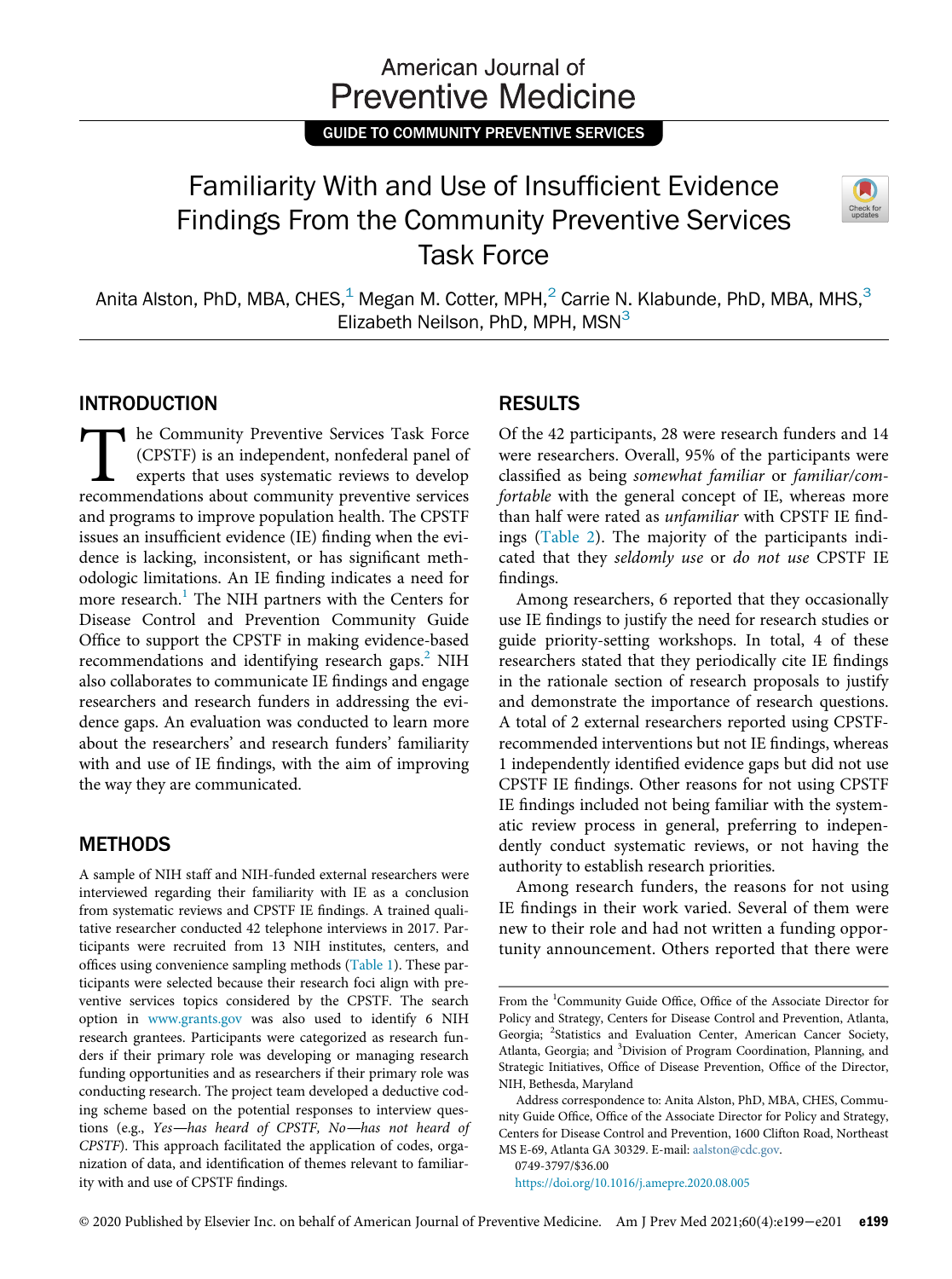## American Journal of **Preventive Medicine**

GUIDE TO COMMUNITY PREVENTIVE SERVICES

# Familiarity With and Use of Insufficient Evidence Findings From the Community Preventive Services Task Force



Anita Alston, PhD, MBA, CHES, $1\text{ Megan M. Cotten}$ , MPH, $2\text{ Carrie N. Klabunde}$ , PhD, MBA, MHS, $3\text{ K.}$ Elizabeth Neilson, PhD, MPH,  $MSN<sup>3</sup>$ 

#### INTRODUCTION

The Community Preventive Services Task Force<br>(CPSTF) is an independent, nonfederal panel of<br>experts that uses systematic reviews to develop<br>recommendations about community preventive services (CPSTF) is an independent, nonfederal panel of experts that uses systematic reviews to develop recommendations about community preventive services and programs to improve population health. The CPSTF issues an insufficient evidence (IE) finding when the evidence is lacking, inconsistent, or has significant methodologic limitations. An IE finding indicates a need for more research.<sup>[1](#page-2-0)</sup> The NIH partners with the Centers for Disease Control and Prevention Community Guide Office to support the CPSTF in making evidence-based recommendations and identifying research gaps.<sup>[2](#page-2-1)</sup> NIH also collaborates to communicate IE findings and engage researchers and research funders in addressing the evidence gaps. An evaluation was conducted to learn more about the researchers' and research funders' familiarity with and use of IE findings, with the aim of improving the way they are communicated.

#### **METHODS**

A sample of NIH staff and NIH-funded external researchers were interviewed regarding their familiarity with IE as a conclusion from systematic reviews and CPSTF IE findings. A trained qualitative researcher conducted 42 telephone interviews in 2017. Participants were recruited from 13 NIH institutes, centers, and offices using convenience sampling methods ([Table 1](#page-1-0)). These participants were selected because their research foci align with preventive services topics considered by the CPSTF. The search option in [www.grants.gov](http://www.grants.gov) was also used to identify 6 NIH research grantees. Participants were categorized as research funders if their primary role was developing or managing research funding opportunities and as researchers if their primary role was conducting research. The project team developed a deductive coding scheme based on the potential responses to interview questions (e.g., Yes—has heard of CPSTF, No—has not heard of CPSTF). This approach facilitated the application of codes, organization of data, and identification of themes relevant to familiarity with and use of CPSTF findings.

### RESULTS

Of the 42 participants, 28 were research funders and 14 were researchers. Overall, 95% of the participants were classified as being somewhat familiar or familiar/comfortable with the general concept of IE, whereas more than half were rated as unfamiliar with CPSTF IE findings [\(Table 2](#page-1-1)). The majority of the participants indicated that they seldomly use or do not use CPSTF IE findings.

Among researchers, 6 reported that they occasionally use IE findings to justify the need for research studies or guide priority-setting workshops. In total, 4 of these researchers stated that they periodically cite IE findings in the rationale section of research proposals to justify and demonstrate the importance of research questions. A total of 2 external researchers reported using CPSTFrecommended interventions but not IE findings, whereas 1 independently identified evidence gaps but did not use CPSTF IE findings. Other reasons for not using CPSTF IE findings included not being familiar with the systematic review process in general, preferring to independently conduct systematic reviews, or not having the authority to establish research priorities.

Among research funders, the reasons for not using IE findings in their work varied. Several of them were new to their role and had not written a funding opportunity announcement. Others reported that there were

0749-3797/\$36.00

<https://doi.org/10.1016/j.amepre.2020.08.005>

From the <sup>1</sup>Community Guide Office, Office of the Associate Director for Policy and Strategy, Centers for Disease Control and Prevention, Atlanta, Georgia; <sup>2</sup>Statistics and Evaluation Center, American Cancer Society, Atlanta, Georgia; and <sup>3</sup>Division of Program Coordination, Planning, and Strategic Initiatives, Office of Disease Prevention, Office of the Director, NIH, Bethesda, Maryland

Address correspondence to: Anita Alston, PhD, MBA, CHES, Community Guide Office, Office of the Associate Director for Policy and Strategy, Centers for Disease Control and Prevention, 1600 Clifton Road, Northeast MS E-69, Atlanta GA 30329. E-mail: [aalston@cdc.gov.](mailto:aalston@cdc.gov)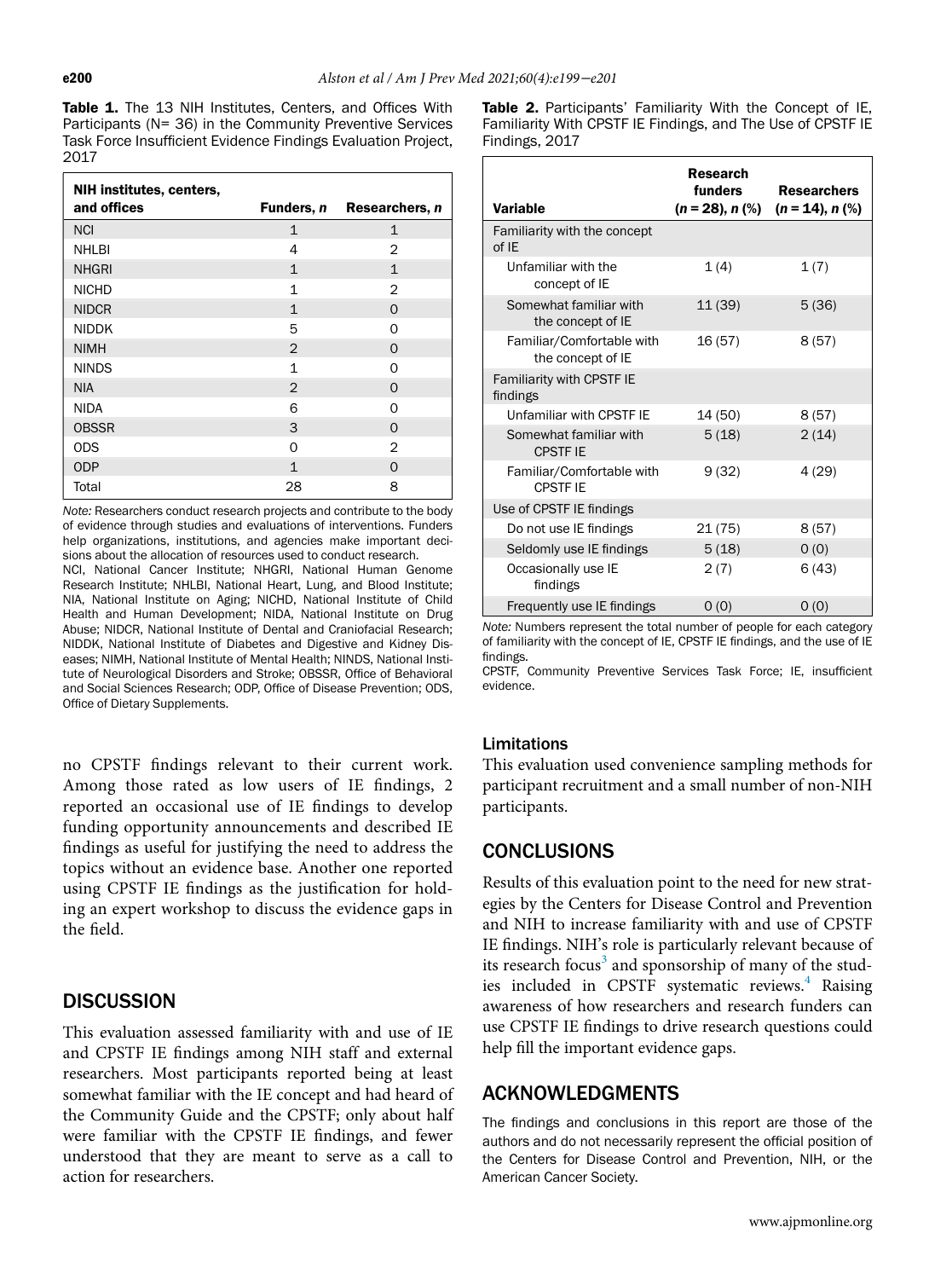<span id="page-1-1"></span><span id="page-1-0"></span>Table 1. The 13 NIH Institutes, Centers, and Offices With Participants (N= 36) in the Community Preventive Services Task Force Insufficient Evidence Findings Evaluation Project, 2017

| NIH institutes, centers, |                |                |
|--------------------------|----------------|----------------|
| and offices              | Funders, n     | Researchers, n |
| <b>NCI</b>               | $\mathbf{1}$   | $\mathbf{1}$   |
| <b>NHLBI</b>             | 4              | $\mathfrak{D}$ |
| <b>NHGRI</b>             | $\mathbf{1}$   | $\mathbf{1}$   |
| <b>NICHD</b>             | 1              | $\mathcal{P}$  |
| <b>NIDCR</b>             | 1              | $\Omega$       |
| <b>NIDDK</b>             | 5              | ∩              |
| <b>NIMH</b>              | $\overline{2}$ | $\Omega$       |
| <b>NINDS</b>             | 1              | $\Omega$       |
| <b>NIA</b>               | 2              | $\Omega$       |
| <b>NIDA</b>              | 6              | ∩              |
| <b>OBSSR</b>             | 3              | $\Omega$       |
| <b>ODS</b>               | $\Omega$       | $\overline{2}$ |
| <b>ODP</b>               | $\mathbf{1}$   | $\Omega$       |
| Total                    | 28             | 8              |

Note: Researchers conduct research projects and contribute to the body of evidence through studies and evaluations of interventions. Funders help organizations, institutions, and agencies make important decisions about the allocation of resources used to conduct research.

NCI, National Cancer Institute; NHGRI, National Human Genome Research Institute; NHLBI, National Heart, Lung, and Blood Institute; NIA, National Institute on Aging; NICHD, National Institute of Child Health and Human Development; NIDA, National Institute on Drug Abuse; NIDCR, National Institute of Dental and Craniofacial Research; NIDDK, National Institute of Diabetes and Digestive and Kidney Diseases; NIMH, National Institute of Mental Health; NINDS, National Institute of Neurological Disorders and Stroke; OBSSR, Office of Behavioral and Social Sciences Research; ODP, Office of Disease Prevention; ODS, Office of Dietary Supplements.

no CPSTF findings relevant to their current work. Among those rated as low users of IE findings, 2 reported an occasional use of IE findings to develop funding opportunity announcements and described IE findings as useful for justifying the need to address the topics without an evidence base. Another one reported using CPSTF IE findings as the justification for holding an expert workshop to discuss the evidence gaps in the field.

#### **DISCUSSION**

This evaluation assessed familiarity with and use of IE and CPSTF IE findings among NIH staff and external researchers. Most participants reported being at least somewhat familiar with the IE concept and had heard of the Community Guide and the CPSTF; only about half were familiar with the CPSTF IE findings, and fewer understood that they are meant to serve as a call to action for researchers.

Table 2. Participants' Familiarity With the Concept of IE, Familiarity With CPSTF IE Findings, and The Use of CPSTF IE Findings, 2017

| <b>Variable</b>                                | <b>Research</b><br>funders<br>$(n = 28)$ , n $(\%)$ | <b>Researchers</b><br>$(n = 14)$ , n $(\%)$ |
|------------------------------------------------|-----------------------------------------------------|---------------------------------------------|
| Familiarity with the concept<br>of IE          |                                                     |                                             |
| Unfamiliar with the<br>concept of IE           | 1(4)                                                | 1(7)                                        |
| Somewhat familiar with<br>the concept of IE    | 11 (39)                                             | 5(36)                                       |
| Familiar/Comfortable with<br>the concept of IE | 16(57)                                              | 8(57)                                       |
| <b>Familiarity with CPSTF IE</b><br>findings   |                                                     |                                             |
| Unfamiliar with CPSTF IE                       | 14 (50)                                             | 8(57)                                       |
| Somewhat familiar with<br><b>CPSTF IE</b>      | 5(18)                                               | 2(14)                                       |
| Familiar/Comfortable with<br><b>CPSTF IE</b>   | 9(32)                                               | 4(29)                                       |
| Use of CPSTF IE findings                       |                                                     |                                             |
| Do not use IE findings                         | 21 (75)                                             | 8(57)                                       |
| Seldomly use IE findings                       | 5(18)                                               | 0(0)                                        |
| Occasionally use IE<br>findings                | 2(7)                                                | 6(43)                                       |
| Frequently use IE findings                     | 0(0)                                                | 0(0)                                        |

Note: Numbers represent the total number of people for each category of familiarity with the concept of IE, CPSTF IE findings, and the use of IE findings.

CPSTF, Community Preventive Services Task Force; IE, insufficient evidence.

#### Limitations

This evaluation used convenience sampling methods for participant recruitment and a small number of non-NIH participants.

#### **CONCLUSIONS**

Results of this evaluation point to the need for new strategies by the Centers for Disease Control and Prevention and NIH to increase familiarity with and use of CPSTF IE findings. NIH's role is particularly relevant because of its research focus<sup>[3](#page-2-2)</sup> and sponsorship of many of the stud-ies included in CPSTF systematic reviews.<sup>[4](#page-2-3)</sup> Raising awareness of how researchers and research funders can use CPSTF IE findings to drive research questions could help fill the important evidence gaps.

#### ACKNOWLEDGMENTS

The findings and conclusions in this report are those of the authors and do not necessarily represent the official position of the Centers for Disease Control and Prevention, NIH, or the American Cancer Society.